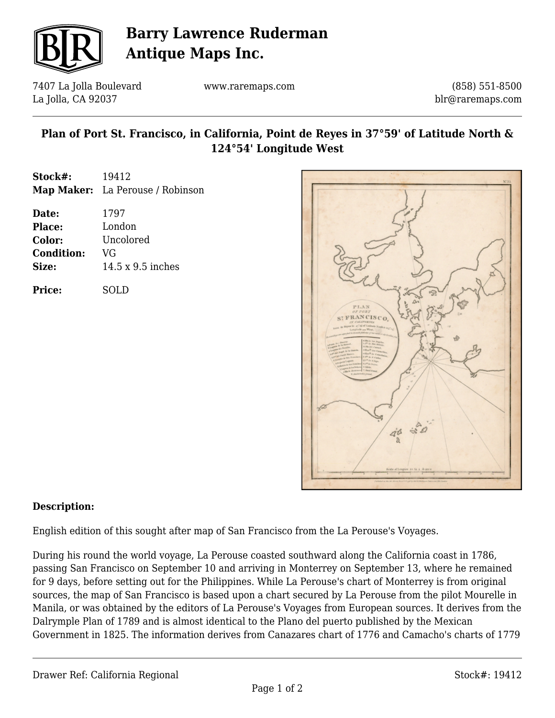

# **Barry Lawrence Ruderman Antique Maps Inc.**

7407 La Jolla Boulevard La Jolla, CA 92037

www.raremaps.com

(858) 551-8500 blr@raremaps.com

### **Plan of Port St. Francisco, in California, Point de Reyes in 37°59' of Latitude North & 124°54' Longitude West**

| Stock#: | 19412                            |
|---------|----------------------------------|
|         | Map Maker: La Perouse / Robinson |

| Date:             | 1797                     |
|-------------------|--------------------------|
| <b>Place:</b>     | London                   |
| Color:            | Uncolored                |
| <b>Condition:</b> | VG                       |
| Size:             | $14.5 \times 9.5$ inches |
|                   |                          |

**Price:** SOLD



#### **Description:**

English edition of this sought after map of San Francisco from the La Perouse's Voyages.

During his round the world voyage, La Perouse coasted southward along the California coast in 1786, passing San Francisco on September 10 and arriving in Monterrey on September 13, where he remained for 9 days, before setting out for the Philippines. While La Perouse's chart of Monterrey is from original sources, the map of San Francisco is based upon a chart secured by La Perouse from the pilot Mourelle in Manila, or was obtained by the editors of La Perouse's Voyages from European sources. It derives from the Dalrymple Plan of 1789 and is almost identical to the Plano del puerto published by the Mexican Government in 1825. The information derives from Canazares chart of 1776 and Camacho's charts of 1779